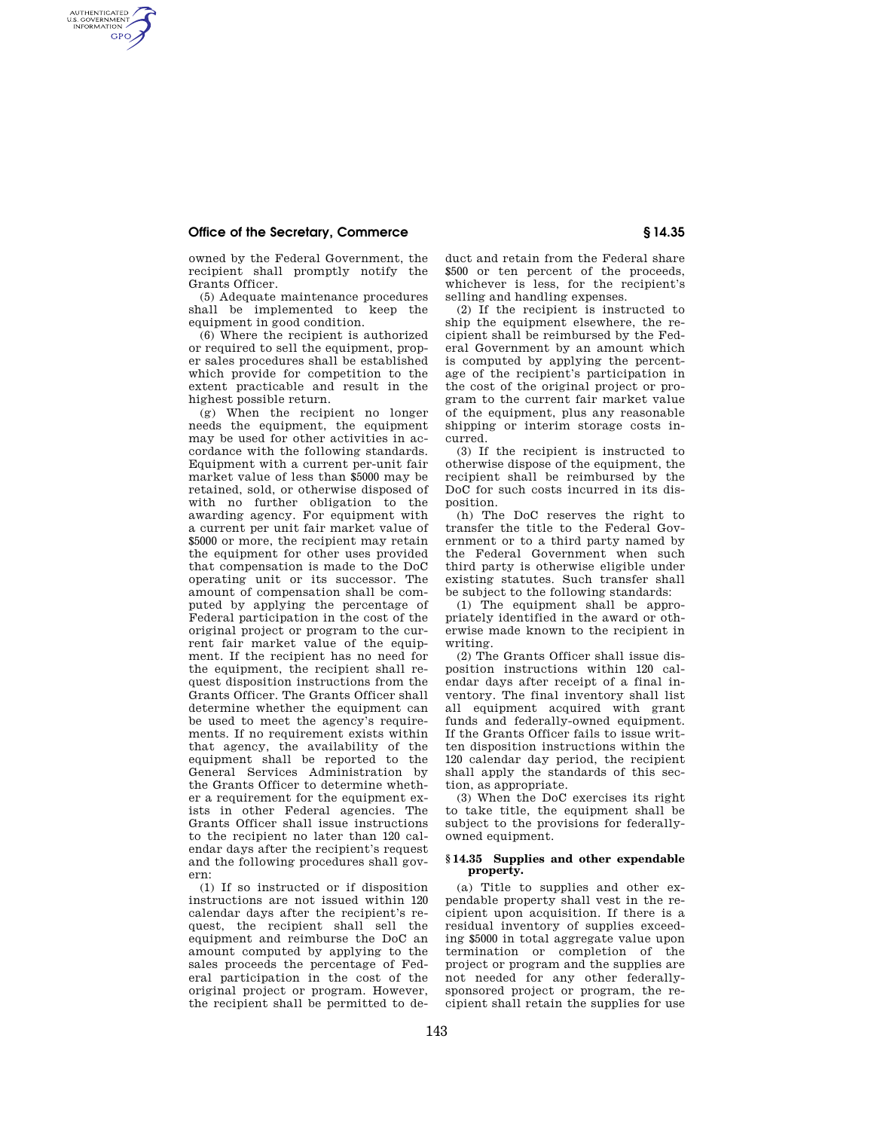## **Office of the Secretary, Commerce § 14.35**

AUTHENTICATED<br>U.S. GOVERNMENT<br>INFORMATION **GPO** 

> owned by the Federal Government, the recipient shall promptly notify the Grants Officer.

> (5) Adequate maintenance procedures shall be implemented to keep the equipment in good condition.

> (6) Where the recipient is authorized or required to sell the equipment, proper sales procedures shall be established which provide for competition to the extent practicable and result in the highest possible return.

> (g) When the recipient no longer needs the equipment, the equipment may be used for other activities in accordance with the following standards. Equipment with a current per-unit fair market value of less than \$5000 may be retained, sold, or otherwise disposed of with no further obligation to the awarding agency. For equipment with a current per unit fair market value of \$5000 or more, the recipient may retain the equipment for other uses provided that compensation is made to the DoC operating unit or its successor. The amount of compensation shall be computed by applying the percentage of Federal participation in the cost of the original project or program to the current fair market value of the equipment. If the recipient has no need for the equipment, the recipient shall request disposition instructions from the Grants Officer. The Grants Officer shall determine whether the equipment can be used to meet the agency's requirements. If no requirement exists within that agency, the availability of the equipment shall be reported to the General Services Administration by the Grants Officer to determine whether a requirement for the equipment exists in other Federal agencies. The Grants Officer shall issue instructions to the recipient no later than 120 calendar days after the recipient's request and the following procedures shall govern:

> (1) If so instructed or if disposition instructions are not issued within 120 calendar days after the recipient's request, the recipient shall sell the equipment and reimburse the DoC an amount computed by applying to the sales proceeds the percentage of Federal participation in the cost of the original project or program. However, the recipient shall be permitted to de

duct and retain from the Federal share \$500 or ten percent of the proceeds, whichever is less, for the recipient's selling and handling expenses.

(2) If the recipient is instructed to ship the equipment elsewhere, the recipient shall be reimbursed by the Federal Government by an amount which is computed by applying the percentage of the recipient's participation in the cost of the original project or program to the current fair market value of the equipment, plus any reasonable shipping or interim storage costs incurred.

(3) If the recipient is instructed to otherwise dispose of the equipment, the recipient shall be reimbursed by the DoC for such costs incurred in its disposition.

(h) The DoC reserves the right to transfer the title to the Federal Government or to a third party named by the Federal Government when such third party is otherwise eligible under existing statutes. Such transfer shall be subject to the following standards:

(1) The equipment shall be appropriately identified in the award or otherwise made known to the recipient in writing.

(2) The Grants Officer shall issue disposition instructions within 120 calendar days after receipt of a final inventory. The final inventory shall list all equipment acquired with grant funds and federally-owned equipment. If the Grants Officer fails to issue written disposition instructions within the 120 calendar day period, the recipient shall apply the standards of this section, as appropriate.

(3) When the DoC exercises its right to take title, the equipment shall be subject to the provisions for federallyowned equipment.

## **§ 14.35 Supplies and other expendable property.**

(a) Title to supplies and other expendable property shall vest in the recipient upon acquisition. If there is a residual inventory of supplies exceeding \$5000 in total aggregate value upon termination or completion of the project or program and the supplies are not needed for any other federallysponsored project or program, the recipient shall retain the supplies for use